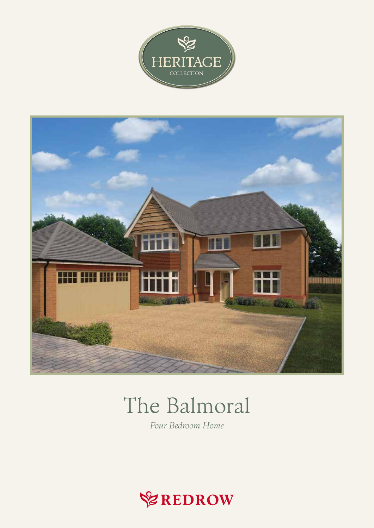



## The Balmoral

Four Bedroom Home